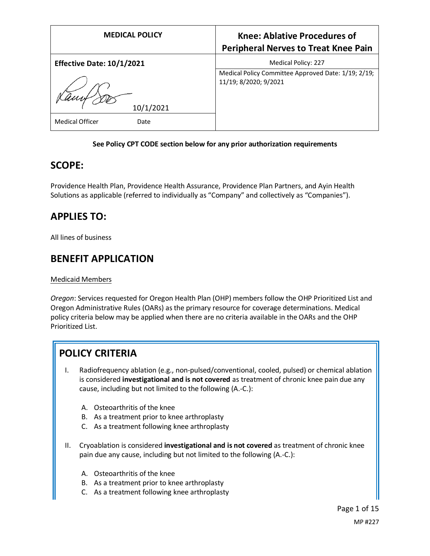| <b>MEDICAL POLICY</b>            | <b>Knee: Ablative Procedures of</b><br><b>Peripheral Nerves to Treat Knee Pain</b> |
|----------------------------------|------------------------------------------------------------------------------------|
| <b>Effective Date: 10/1/2021</b> | Medical Policy: 227                                                                |
| 10/1/2021                        | Medical Policy Committee Approved Date: 1/19; 2/19;<br>11/19; 8/2020; 9/2021       |
| <b>Medical Officer</b><br>Date   |                                                                                    |

#### **See Policy CPT CODE section below for any prior authorization requirements**

### **SCOPE:**

Providence Health Plan, Providence Health Assurance, Providence Plan Partners, and Ayin Health Solutions as applicable (referred to individually as "Company" and collectively as "Companies").

# **APPLIES TO:**

All lines of business

### **BENEFIT APPLICATION**

#### Medicaid Members

*Oregon*: Services requested for Oregon Health Plan (OHP) members follow the OHP Prioritized List and Oregon Administrative Rules (OARs) as the primary resource for coverage determinations. Medical policy criteria below may be applied when there are no criteria available in the OARs and the OHP Prioritized List.

## **POLICY CRITERIA**

- I. Radiofrequency ablation (e.g., non-pulsed/conventional, cooled, pulsed) or chemical ablation is considered **investigational and is not covered** as treatment of chronic knee pain due any cause, including but not limited to the following (A.-C.):
	- A. Osteoarthritis of the knee
	- B. As a treatment prior to knee arthroplasty
	- C. As a treatment following knee arthroplasty
- II. Cryoablation is considered **investigational and is not covered** as treatment of chronic knee pain due any cause, including but not limited to the following (A.-C.):
	- A. Osteoarthritis of the knee
	- B. As a treatment prior to knee arthroplasty
	- C. As a treatment following knee arthroplasty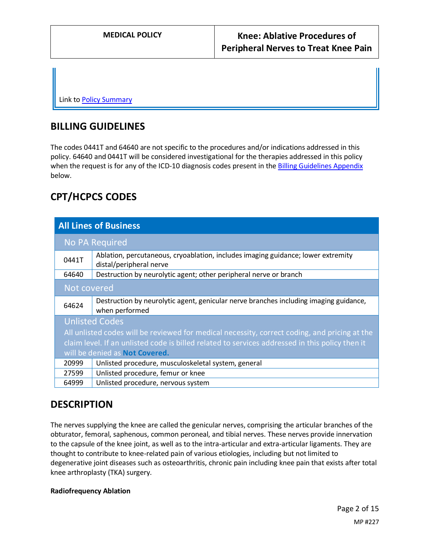Link t[o Policy Summary](#page-8-0)

### **BILLING GUIDELINES**

The codes 0441T and 64640 are not specific to the procedures and/or indications addressed in this policy. 64640 and 0441T will be considered investigational for the therapies addressed in this policy when the request is for any of the ICD-10 diagnosis codes present in the [Billing Guidelines Appendix](#page-12-0) below.

# **CPT/HCPCS CODES**

| <b>All Lines of Business</b>                                                                                                                                                                                                                                |                                                                                                             |  |  |  |
|-------------------------------------------------------------------------------------------------------------------------------------------------------------------------------------------------------------------------------------------------------------|-------------------------------------------------------------------------------------------------------------|--|--|--|
| <b>No PA Required</b>                                                                                                                                                                                                                                       |                                                                                                             |  |  |  |
| 0441T                                                                                                                                                                                                                                                       | Ablation, percutaneous, cryoablation, includes imaging guidance; lower extremity<br>distal/peripheral nerve |  |  |  |
| 64640                                                                                                                                                                                                                                                       | Destruction by neurolytic agent; other peripheral nerve or branch                                           |  |  |  |
| Not covered                                                                                                                                                                                                                                                 |                                                                                                             |  |  |  |
| 64624                                                                                                                                                                                                                                                       | Destruction by neurolytic agent, genicular nerve branches including imaging guidance,<br>when performed     |  |  |  |
| <b>Unlisted Codes</b><br>All unlisted codes will be reviewed for medical necessity, correct coding, and pricing at the<br>claim level. If an unlisted code is billed related to services addressed in this policy then it<br>will be denied as Not Covered. |                                                                                                             |  |  |  |
| 20999                                                                                                                                                                                                                                                       | Unlisted procedure, musculoskeletal system, general                                                         |  |  |  |
| 27599                                                                                                                                                                                                                                                       | Unlisted procedure, femur or knee                                                                           |  |  |  |
| 64999                                                                                                                                                                                                                                                       | Unlisted procedure, nervous system                                                                          |  |  |  |

### **DESCRIPTION**

The nerves supplying the knee are called the genicular nerves, comprising the articular branches of the obturator, femoral, saphenous, common peroneal, and tibial nerves. These nerves provide innervation to the capsule of the knee joint, as well as to the intra-articular and extra-articular ligaments. They are thought to contribute to knee-related pain of various etiologies, including but not limited to degenerative joint diseases such as osteoarthritis, chronic pain including knee pain that exists after total knee arthroplasty (TKA) surgery.

#### **Radiofrequency Ablation**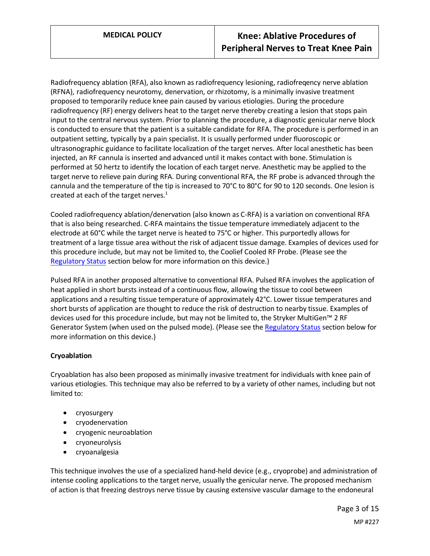Radiofrequency ablation (RFA), also known as radiofrequency lesioning, radiofreqency nerve ablation (RFNA), radiofrequency neurotomy, denervation, or rhizotomy, is a minimally invasive treatment proposed to temporarily reduce knee pain caused by various etiologies. During the procedure radiofrequency (RF) energy delivers heat to the target nerve thereby creating a lesion that stops pain input to the central nervous system. Prior to planning the procedure, a diagnostic genicular nerve block is conducted to ensure that the patient is a suitable candidate for RFA. The procedure is performed in an outpatient setting, typically by a pain specialist. It is usually performed under fluoroscopic or ultrasonographic guidance to facilitate localization of the target nerves. After local anesthetic has been injected, an RF cannula is inserted and advanced until it makes contact with bone. Stimulation is performed at 50 hertz to identify the location of each target nerve. Anesthetic may be applied to the target nerve to relieve pain during RFA. During conventional RFA, the RF probe is advanced through the cannula and the temperature of the tip is increased to 70°C to 80°C for 90 to 120 seconds. One lesion is created at each of the target nerves.<sup>1</sup>

Cooled radiofrequency ablation/denervation (also known as C-RFA) is a variation on conventional RFA that is also being researched. C-RFA maintains the tissue temperature immediately adjacent to the electrode at 60°C while the target nerve is heated to 75°C or higher. This purportedly allows for treatment of a large tissue area without the risk of adjacent tissue damage. Examples of devices used for this procedure include, but may not be limited to, the Coolief Cooled RF Probe. (Please see the [Regulatory Status](#page-9-0) section below for more information on this device.)

Pulsed RFA in another proposed alternative to conventional RFA. Pulsed RFA involves the application of heat applied in short bursts instead of a continuous flow, allowing the tissue to cool between applications and a resulting tissue temperature of approximately 42°C. Lower tissue temperatures and short bursts of application are thought to reduce the risk of destruction to nearby tissue. Examples of devices used for this procedure include, but may not be limited to, the Stryker MultiGen™ 2 RF Generator System (when used on the pulsed mode). (Please see the [Regulatory Status](#page-9-0) section below for more information on this device.)

### **Cryoablation**

Cryoablation has also been proposed as minimally invasive treatment for individuals with knee pain of various etiologies. This technique may also be referred to by a variety of other names, including but not limited to:

- cryosurgery
- cryodenervation
- cryogenic neuroablation
- cryoneurolysis
- cryoanalgesia

This technique involves the use of a specialized hand-held device (e.g., cryoprobe) and administration of intense cooling applications to the target nerve, usually the genicular nerve. The proposed mechanism of action is that freezing destroys nerve tissue by causing extensive vascular damage to the endoneural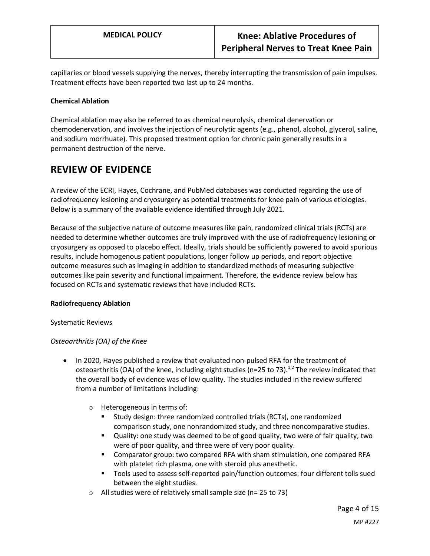capillaries or blood vessels supplying the nerves, thereby interrupting the transmission of pain impulses. Treatment effects have been reported two last up to 24 months.

#### **Chemical Ablation**

Chemical ablation may also be referred to as chemical neurolysis, chemical denervation or chemodenervation, and involves the injection of neurolytic agents (e.g., phenol, alcohol, glycerol, saline, and sodium morrhuate). This proposed treatment option for chronic pain generally results in a permanent destruction of the nerve.

### **REVIEW OF EVIDENCE**

A review of the ECRI, Hayes, Cochrane, and PubMed databases was conducted regarding the use of radiofrequency lesioning and cryosurgery as potential treatments for knee pain of various etiologies. Below is a summary of the available evidence identified through July 2021.

Because of the subjective nature of outcome measures like pain, randomized clinical trials (RCTs) are needed to determine whether outcomes are truly improved with the use of radiofrequency lesioning or cryosurgery as opposed to placebo effect. Ideally, trials should be sufficiently powered to avoid spurious results, include homogenous patient populations, longer follow up periods, and report objective outcome measures such as imaging in addition to standardized methods of measuring subjective outcomes like pain severity and functional impairment. Therefore, the evidence review below has focused on RCTs and systematic reviews that have included RCTs.

### **Radiofrequency Ablation**

#### Systematic Reviews

### *Osteoarthritis (OA) of the Knee*

- In 2020, Hayes published a review that evaluated non-pulsed RFA for the treatment of osteoarthritis (OA) of the knee, including eight studies (n=25 to 73).<sup>1,2</sup> The review indicated that the overall body of evidence was of low quality. The studies included in the review suffered from a number of limitations including:
	- o Heterogeneous in terms of:
		- Study design: three randomized controlled trials (RCTs), one randomized comparison study, one nonrandomized study, and three noncomparative studies.
		- Quality: one study was deemed to be of good quality, two were of fair quality, two were of poor quality, and three were of very poor quality.
		- Comparator group: two compared RFA with sham stimulation, one compared RFA with platelet rich plasma, one with steroid plus anesthetic.
		- Tools used to assess self-reported pain/function outcomes: four different tolls sued between the eight studies.
	- $\circ$  All studies were of relatively small sample size (n= 25 to 73)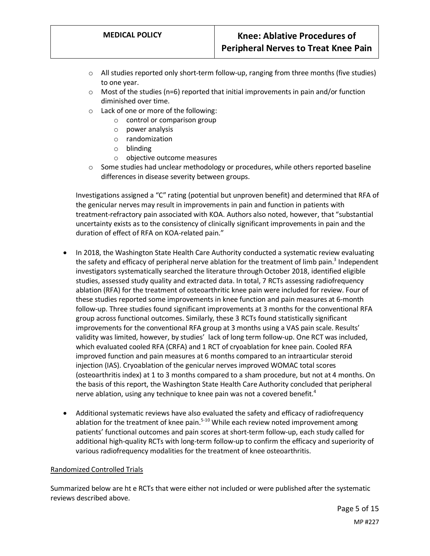- o All studies reported only short-term follow-up, ranging from three months (five studies) to one year.
- $\circ$  Most of the studies (n=6) reported that initial improvements in pain and/or function diminished over time.
- o Lack of one or more of the following:
	- o control or comparison group
	- o power analysis
	- o randomization
	- o blinding
	- o objective outcome measures
- $\circ$  Some studies had unclear methodology or procedures, while others reported baseline differences in disease severity between groups.

Investigations assigned a "C" rating (potential but unproven benefit) and determined that RFA of the genicular nerves may result in improvements in pain and function in patients with treatment-refractory pain associated with KOA. Authors also noted, however, that "substantial uncertainty exists as to the consistency of clinically significant improvements in pain and the duration of effect of RFA on KOA-related pain."

- In 2018, the Washington State Health Care Authority conducted a systematic review evaluating the safety and efficacy of peripheral nerve ablation for the treatment of limb pain.<sup>3</sup> Independent investigators systematically searched the literature through October 2018, identified eligible studies, assessed study quality and extracted data. In total, 7 RCTs assessing radiofrequency ablation (RFA) for the treatment of osteoarthritic knee pain were included for review. Four of these studies reported some improvements in knee function and pain measures at 6-month follow-up. Three studies found significant improvements at 3 months for the conventional RFA group across functional outcomes. Similarly, these 3 RCTs found statistically significant improvements for the conventional RFA group at 3 months using a VAS pain scale. Results' validity was limited, however, by studies' lack of long term follow-up. One RCT was included, which evaluated cooled RFA (CRFA) and 1 RCT of cryoablation for knee pain. Cooled RFA improved function and pain measures at 6 months compared to an intraarticular steroid injection (IAS). Cryoablation of the genicular nerves improved WOMAC total scores (osteoarthritis index) at 1 to 3 months compared to a sham procedure, but not at 4 months. On the basis of this report, the Washington State Health Care Authority concluded that peripheral nerve ablation, using any technique to knee pain was not a covered benefit.<sup>4</sup>
- Additional systematic reviews have also evaluated the safety and efficacy of radiofrequency ablation for the treatment of knee pain.<sup>5-10</sup> While each review noted improvement among patients' functional outcomes and pain scores at short-term follow-up, each study called for additional high-quality RCTs with long-term follow-up to confirm the efficacy and superiority of various radiofrequency modalities for the treatment of knee osteoarthritis.

#### Randomized Controlled Trials

Summarized below are ht e RCTs that were either not included or were published after the systematic reviews described above.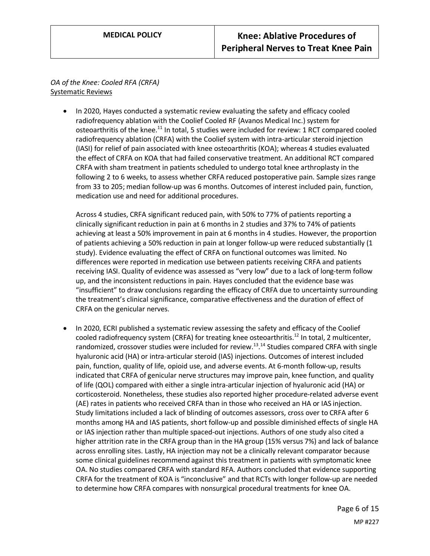*OA of the Knee: Cooled RFA (CRFA)* Systematic Reviews

> • In 2020, Hayes conducted a systematic review evaluating the safety and efficacy cooled radiofrequency ablation with the Coolief Cooled RF (Avanos Medical Inc.) system for osteoarthritis of the knee.<sup>11</sup> In total, 5 studies were included for review: 1 RCT compared cooled radiofrequency ablation (CRFA) with the Coolief system with intra-articular steroid injection (IASI) for relief of pain associated with knee osteoarthritis (KOA); whereas 4 studies evaluated the effect of CRFA on KOA that had failed conservative treatment. An additional RCT compared CRFA with sham treatment in patients scheduled to undergo total knee arthroplasty in the following 2 to 6 weeks, to assess whether CRFA reduced postoperative pain. Sample sizes range from 33 to 205; median follow-up was 6 months. Outcomes of interest included pain, function, medication use and need for additional procedures.

Across 4 studies, CRFA significant reduced pain, with 50% to 77% of patients reporting a clinically significant reduction in pain at 6 months in 2 studies and 37% to 74% of patients achieving at least a 50% improvement in pain at 6 months in 4 studies. However, the proportion of patients achieving a 50% reduction in pain at longer follow-up were reduced substantially (1 study). Evidence evaluating the effect of CRFA on functional outcomes was limited. No differences were reported in medication use between patients receiving CRFA and patients receiving IASI. Quality of evidence was assessed as "very low" due to a lack of long-term follow up, and the inconsistent reductions in pain. Hayes concluded that the evidence base was "insufficient" to draw conclusions regarding the efficacy of CRFA due to uncertainty surrounding the treatment's clinical significance, comparative effectiveness and the duration of effect of CRFA on the genicular nerves.

• In 2020, ECRI published a systematic review assessing the safety and efficacy of the Coolief cooled radiofrequency system (CRFA) for treating knee osteoarthritis.<sup>12</sup> In total, 2 multicenter, randomized, crossover studies were included for review.<sup>13</sup>.<sup>14</sup> Studies compared CRFA with single hyaluronic acid (HA) or intra-articular steroid (IAS) injections. Outcomes of interest included pain, function, quality of life, opioid use, and adverse events. At 6-month follow-up, results indicated that CRFA of genicular nerve structures may improve pain, knee function, and quality of life (QOL) compared with either a single intra-articular injection of hyaluronic acid (HA) or corticosteroid. Nonetheless, these studies also reported higher procedure-related adverse event (AE) rates in patients who received CRFA than in those who received an HA or IAS injection. Study limitations included a lack of blinding of outcomes assessors, cross over to CRFA after 6 months among HA and IAS patients, short follow-up and possible diminished effects of single HA or IAS injection rather than multiple spaced-out injections. Authors of one study also cited a higher attrition rate in the CRFA group than in the HA group (15% versus 7%) and lack of balance across enrolling sites. Lastly, HA injection may not be a clinically relevant comparator because some clinical guidelines recommend against this treatment in patients with symptomatic knee OA. No studies compared CRFA with standard RFA. Authors concluded that evidence supporting CRFA for the treatment of KOA is "inconclusive" and that RCTs with longer follow-up are needed to determine how CRFA compares with nonsurgical procedural treatments for knee OA.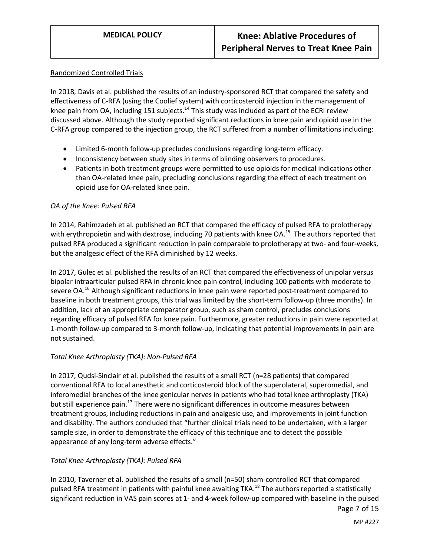#### Randomized Controlled Trials

In 2018, Davis et al. published the results of an industry-sponsored RCT that compared the safety and effectiveness of C-RFA (using the Coolief system) with corticosteroid injection in the management of knee pain from OA, including 151 subjects.<sup>14</sup> This study was included as part of the ECRI review discussed above. Although the study reported significant reductions in knee pain and opioid use in the C-RFA group compared to the injection group, the RCT suffered from a number of limitations including:

- Limited 6-month follow-up precludes conclusions regarding long-term efficacy.
- Inconsistency between study sites in terms of blinding observers to procedures.
- Patients in both treatment groups were permitted to use opioids for medical indications other than OA-related knee pain, precluding conclusions regarding the effect of each treatment on opioid use for OA-related knee pain.

#### *OA of the Knee: Pulsed RFA*

In 2014, Rahimzadeh et al. published an RCT that compared the efficacy of pulsed RFA to prolotherapy with erythropoietin and with dextrose, including 70 patients with knee OA.<sup>15</sup> The authors reported that pulsed RFA produced a significant reduction in pain comparable to prolotherapy at two- and four-weeks, but the analgesic effect of the RFA diminished by 12 weeks.

In 2017, Gulec et al. published the results of an RCT that compared the effectiveness of unipolar versus bipolar intraarticular pulsed RFA in chronic knee pain control, including 100 patients with moderate to severe OA.<sup>16</sup> Although significant reductions in knee pain were reported post-treatment compared to baseline in both treatment groups, this trial was limited by the short-term follow-up (three months). In addition, lack of an appropriate comparator group, such as sham control, precludes conclusions regarding efficacy of pulsed RFA for knee pain. Furthermore, greater reductions in pain were reported at 1-month follow-up compared to 3-month follow-up, indicating that potential improvements in pain are not sustained.

### *Total Knee Arthroplasty (TKA): Non-Pulsed RFA*

In 2017, Qudsi-Sinclair et al. published the results of a small RCT (n=28 patients) that compared conventional RFA to local anesthetic and corticosteroid block of the superolateral, superomedial, and inferomedial branches of the knee genicular nerves in patients who had total knee arthroplasty (TKA) but still experience pain.<sup>17</sup> There were no significant differences in outcome measures between treatment groups, including reductions in pain and analgesic use, and improvements in joint function and disability. The authors concluded that "further clinical trials need to be undertaken, with a larger sample size, in order to demonstrate the efficacy of this technique and to detect the possible appearance of any long-term adverse effects."

### *Total Knee Arthroplasty (TKA): Pulsed RFA*

In 2010, Taverner et al. published the results of a small (n=50) sham-controlled RCT that compared pulsed RFA treatment in patients with painful knee awaiting TKA.<sup>18</sup> The authors reported a statistically significant reduction in VAS pain scores at 1- and 4-week follow-up compared with baseline in the pulsed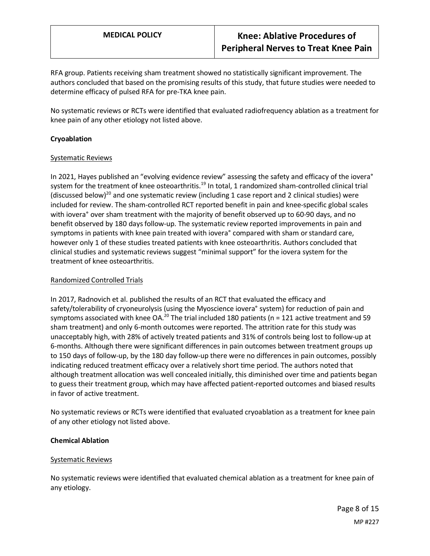RFA group. Patients receiving sham treatment showed no statistically significant improvement. The authors concluded that based on the promising results of this study, that future studies were needed to determine efficacy of pulsed RFA for pre-TKA knee pain.

No systematic reviews or RCTs were identified that evaluated radiofrequency ablation as a treatment for knee pain of any other etiology not listed above.

#### **Cryoablation**

#### Systematic Reviews

In 2021, Hayes published an "evolving evidence review" assessing the safety and efficacy of the iovera° system for the treatment of knee osteoarthritis.<sup>19</sup> In total, 1 randomized sham-controlled clinical trial (discussed below)<sup>20</sup> and one systematic review (including 1 case report and 2 clinical studies) were included for review. The sham-controlled RCT reported benefit in pain and knee-specific global scales with iovera° over sham treatment with the majority of benefit observed up to 60-90 days, and no benefit observed by 180 days follow-up. The systematic review reported improvements in pain and symptoms in patients with knee pain treated with iovera° compared with sham or standard care, however only 1 of these studies treated patients with knee osteoarthritis. Authors concluded that clinical studies and systematic reviews suggest "minimal support" for the iovera system for the treatment of knee osteoarthritis.

#### Randomized Controlled Trials

In 2017, Radnovich et al. published the results of an RCT that evaluated the efficacy and safety/tolerability of cryoneurolysis (using the Myoscience iovera° system) for reduction of pain and symptoms associated with knee  $OA<sup>20</sup>$  The trial included 180 patients (n = 121 active treatment and 59 sham treatment) and only 6-month outcomes were reported. The attrition rate for this study was unacceptably high, with 28% of actively treated patients and 31% of controls being lost to follow-up at 6-months. Although there were significant differences in pain outcomes between treatment groups up to 150 days of follow-up, by the 180 day follow-up there were no differences in pain outcomes, possibly indicating reduced treatment efficacy over a relatively short time period. The authors noted that although treatment allocation was well concealed initially, this diminished over time and patients began to guess their treatment group, which may have affected patient-reported outcomes and biased results in favor of active treatment.

No systematic reviews or RCTs were identified that evaluated cryoablation as a treatment for knee pain of any other etiology not listed above.

#### **Chemical Ablation**

#### Systematic Reviews

No systematic reviews were identified that evaluated chemical ablation as a treatment for knee pain of any etiology.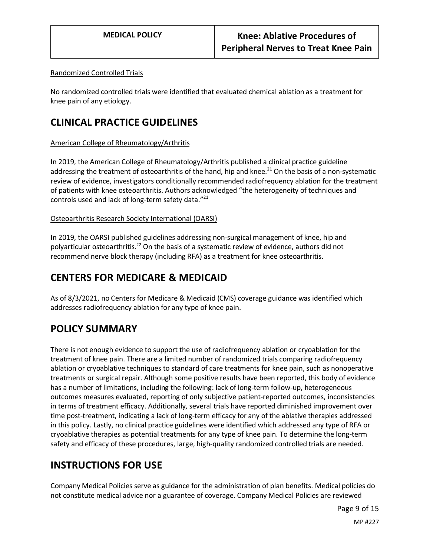#### Randomized Controlled Trials

No randomized controlled trials were identified that evaluated chemical ablation as a treatment for knee pain of any etiology.

### **CLINICAL PRACTICE GUIDELINES**

#### American College of Rheumatology/Arthritis

In 2019, the American College of Rheumatology/Arthritis published a clinical practice guideline addressing the treatment of osteoarthritis of the hand, hip and knee.<sup>21</sup> On the basis of a non-systematic review of evidence, investigators conditionally recommended radiofrequency ablation for the treatment of patients with knee osteoarthritis. Authors acknowledged "the heterogeneity of techniques and controls used and lack of long-term safety data."<sup>21</sup>

#### Osteoarthritis Research Society International (OARSI)

In 2019, the OARSI published guidelines addressing non-surgical management of knee, hip and polyarticular osteoarthritis.<sup>22</sup> On the basis of a systematic review of evidence, authors did not recommend nerve block therapy (including RFA) as a treatment for knee osteoarthritis.

## **CENTERS FOR MEDICARE & MEDICAID**

As of 8/3/2021, no Centers for Medicare & Medicaid (CMS) coverage guidance was identified which addresses radiofrequency ablation for any type of knee pain.

## <span id="page-8-0"></span>**POLICY SUMMARY**

There is not enough evidence to support the use of radiofrequency ablation or cryoablation for the treatment of knee pain. There are a limited number of randomized trials comparing radiofrequency ablation or cryoablative techniques to standard of care treatments for knee pain, such as nonoperative treatments or surgical repair. Although some positive results have been reported, this body of evidence has a number of limitations, including the following: lack of long-term follow-up, heterogeneous outcomes measures evaluated, reporting of only subjective patient-reported outcomes, inconsistencies in terms of treatment efficacy. Additionally, several trials have reported diminished improvement over time post-treatment, indicating a lack of long-term efficacy for any of the ablative therapies addressed in this policy. Lastly, no clinical practice guidelines were identified which addressed any type of RFA or cryoablative therapies as potential treatments for any type of knee pain. To determine the long-term safety and efficacy of these procedures, large, high-quality randomized controlled trials are needed.

### **INSTRUCTIONS FOR USE**

Company Medical Policies serve as guidance for the administration of plan benefits. Medical policies do not constitute medical advice nor a guarantee of coverage. Company Medical Policies are reviewed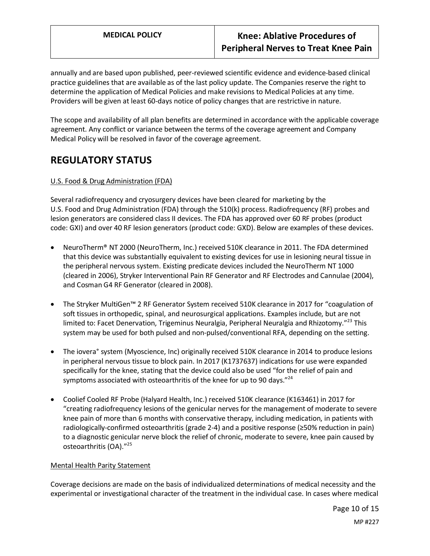annually and are based upon published, peer-reviewed scientific evidence and evidence-based clinical practice guidelines that are available as of the last policy update. The Companies reserve the right to determine the application of Medical Policies and make revisions to Medical Policies at any time. Providers will be given at least 60-days notice of policy changes that are restrictive in nature.

The scope and availability of all plan benefits are determined in accordance with the applicable coverage agreement. Any conflict or variance between the terms of the coverage agreement and Company Medical Policy will be resolved in favor of the coverage agreement.

## **REGULATORY STATUS**

### <span id="page-9-0"></span>U.S. Food & Drug Administration (FDA)

Several radiofrequency and cryosurgery devices have been cleared for marketing by the U.S. Food and Drug Administration (FDA) through the 510(k) process. Radiofrequency (RF) probes and lesion generators are considered class II devices. The FDA has approved over 60 RF probes (product code: GXI) and over 40 RF lesion generators (product code: GXD). Below are examples of these devices.

- NeuroTherm® NT 2000 (NeuroTherm, Inc.) received 510K clearance in 2011. The FDA determined that this device was substantially equivalent to existing devices for use in lesioning neural tissue in the peripheral nervous system. Existing predicate devices included the NeuroTherm NT 1000 (cleared in 2006), Stryker Interventional Pain RF Generator and RF Electrodes and Cannulae (2004), and Cosman G4 RF Generator (cleared in 2008).
- The Stryker MultiGen™ 2 RF Generator System received 510K clearance in 2017 for "coagulation of soft tissues in orthopedic, spinal, and neurosurgical applications. Examples include, but are not limited to: Facet Denervation, Trigeminus Neuralgia, Peripheral Neuralgia and Rhizotomy."<sup>23</sup> This system may be used for both pulsed and non-pulsed/conventional RFA, depending on the setting.
- The iovera° system (Myoscience, Inc) originally received 510K clearance in 2014 to produce lesions in peripheral nervous tissue to block pain. In 2017 (K1737637) indications for use were expanded specifically for the knee, stating that the device could also be used "for the relief of pain and symptoms associated with osteoarthritis of the knee for up to 90 days."<sup>24</sup>
- Coolief Cooled RF Probe (Halyard Health, Inc.) received 510K clearance (K163461) in 2017 for "creating radiofrequency lesions of the genicular nerves for the management of moderate to severe knee pain of more than 6 months with conservative therapy, including medication, in patients with radiologically-confirmed osteoarthritis (grade 2-4) and a positive response (≥50% reduction in pain) to a diagnostic genicular nerve block the relief of chronic, moderate to severe, knee pain caused by osteoarthritis (OA)."<sup>25</sup>

#### Mental Health Parity Statement

Coverage decisions are made on the basis of individualized determinations of medical necessity and the experimental or investigational character of the treatment in the individual case. In cases where medical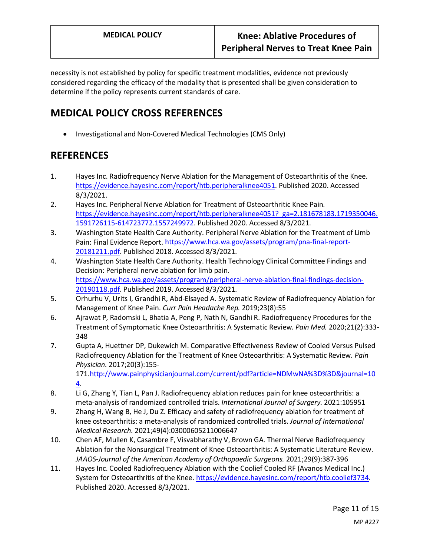necessity is not established by policy for specific treatment modalities, evidence not previously considered regarding the efficacy of the modality that is presented shall be given consideration to determine if the policy represents current standards of care.

# **MEDICAL POLICY CROSS REFERENCES**

• Investigational and Non-Covered Medical Technologies (CMS Only)

## **REFERENCES**

- 1. Hayes Inc. Radiofrequency Nerve Ablation for the Management of Osteoarthritis of the Knee. [https://evidence.hayesinc.com/report/htb.peripheralknee4051.](https://evidence.hayesinc.com/report/htb.peripheralknee4051) Published 2020. Accessed 8/3/2021.
- 2. Hayes Inc. Peripheral Nerve Ablation for Treatment of Osteoarthritic Knee Pain. [https://evidence.hayesinc.com/report/htb.peripheralknee4051?\\_ga=2.181678183.1719350046.](https://evidence.hayesinc.com/report/htb.peripheralknee4051?_ga=2.181678183.1719350046.1591726115-614723772.1557249972) [1591726115-614723772.1557249972.](https://evidence.hayesinc.com/report/htb.peripheralknee4051?_ga=2.181678183.1719350046.1591726115-614723772.1557249972) Published 2020. Accessed 8/3/2021.
- 3. Washington State Health Care Authority. Peripheral Nerve Ablation for the Treatment of Limb Pain: Final Evidence Report[. https://www.hca.wa.gov/assets/program/pna-final-report-](https://www.hca.wa.gov/assets/program/pna-final-report-20181211.pdf)[20181211.pdf.](https://www.hca.wa.gov/assets/program/pna-final-report-20181211.pdf) Published 2018. Accessed 8/3/2021.
- 4. Washington State Health Care Authority. Health Technology Clinical Committee Findings and Decision: Peripheral nerve ablation for limb pain. [https://www.hca.wa.gov/assets/program/peripheral-nerve-ablation-final-findings-decision-](https://www.hca.wa.gov/assets/program/peripheral-nerve-ablation-final-findings-decision-20190118.pdf)[20190118.pdf.](https://www.hca.wa.gov/assets/program/peripheral-nerve-ablation-final-findings-decision-20190118.pdf) Published 2019. Accessed 8/3/2021.
- 5. Orhurhu V, Urits I, Grandhi R, Abd-Elsayed A. Systematic Review of Radiofrequency Ablation for Management of Knee Pain. *Curr Pain Headache Rep.* 2019;23(8):55
- 6. Ajrawat P, Radomski L, Bhatia A, Peng P, Nath N, Gandhi R. Radiofrequency Procedures for the Treatment of Symptomatic Knee Osteoarthritis: A Systematic Review. *Pain Med.* 2020;21(2):333- 348
- 7. Gupta A, Huettner DP, Dukewich M. Comparative Effectiveness Review of Cooled Versus Pulsed Radiofrequency Ablation for the Treatment of Knee Osteoarthritis: A Systematic Review. *Pain Physician.* 2017;20(3):155- 171[.http://www.painphysicianjournal.com/current/pdf?article=NDMwNA%3D%3D&journal=10](http://www.painphysicianjournal.com/current/pdf?article=NDMwNA%3D%3D&journal=104) [4.](http://www.painphysicianjournal.com/current/pdf?article=NDMwNA%3D%3D&journal=104)
- 8. Li G, Zhang Y, Tian L, Pan J. Radiofrequency ablation reduces pain for knee osteoarthritis: a meta-analysis of randomized controlled trials. *International Journal of Surgery.* 2021:105951
- 9. Zhang H, Wang B, He J, Du Z. Efficacy and safety of radiofrequency ablation for treatment of knee osteoarthritis: a meta-analysis of randomized controlled trials. *Journal of International Medical Research.* 2021;49(4):03000605211006647
- 10. Chen AF, Mullen K, Casambre F, Visvabharathy V, Brown GA. Thermal Nerve Radiofrequency Ablation for the Nonsurgical Treatment of Knee Osteoarthritis: A Systematic Literature Review. *JAAOS-Journal of the American Academy of Orthopaedic Surgeons.* 2021;29(9):387-396
- 11. Hayes Inc. Cooled Radiofrequency Ablation with the Coolief Cooled RF (Avanos Medical Inc.) System for Osteoarthritis of the Knee. [https://evidence.hayesinc.com/report/htb.coolief3734.](https://evidence.hayesinc.com/report/htb.coolief3734) Published 2020. Accessed 8/3/2021.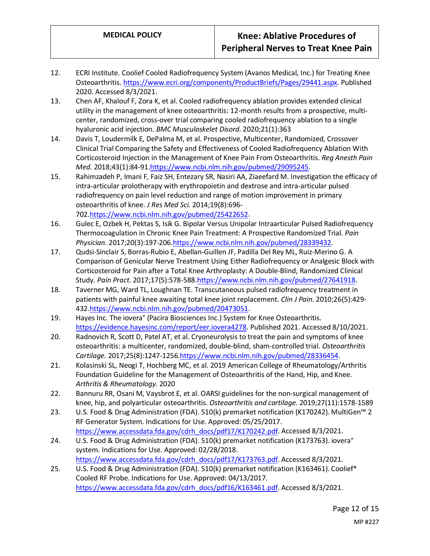- 12. ECRI Institute. Coolief Cooled Radiofrequency System (Avanos Medical, Inc.) for Treating Knee Osteoarthritis[. https://www.ecri.org/components/ProductBriefs/Pages/29441.aspx.](https://www.ecri.org/components/ProductBriefs/Pages/29441.aspx) Published 2020. Accessed 8/3/2021.
- 13. Chen AF, Khalouf F, Zora K, et al. Cooled radiofrequency ablation provides extended clinical utility in the management of knee osteoarthritis: 12-month results from a prospective, multicenter, randomized, cross-over trial comparing cooled radiofrequency ablation to a single hyaluronic acid injection. *BMC Musculoskelet Disord.* 2020;21(1):363
- 14. Davis T, Loudermilk E, DePalma M, et al. Prospective, Multicenter, Randomized, Crossover Clinical Trial Comparing the Safety and Effectiveness of Cooled Radiofrequency Ablation With Corticosteroid Injection in the Management of Knee Pain From Osteoarthritis. *Reg Anesth Pain Med.* 2018;43(1):84-9[1.https://www.ncbi.nlm.nih.gov/pubmed/29095245.](https://www.ncbi.nlm.nih.gov/pubmed/29095245)
- 15. Rahimzadeh P, Imani F, Faiz SH, Entezary SR, Nasiri AA, Ziaeefard M. Investigation the efficacy of intra-articular prolotherapy with erythropoietin and dextrose and intra-articular pulsed radiofrequency on pain level reduction and range of motion improvement in primary osteoarthritis of knee. *J Res Med Sci.* 2014;19(8):696- 702[.https://www.ncbi.nlm.nih.gov/pubmed/25422652.](https://www.ncbi.nlm.nih.gov/pubmed/25422652)
- 16. Gulec E, Ozbek H, Pektas S, Isik G. Bipolar Versus Unipolar Intraarticular Pulsed Radiofrequency Thermocoagulation in Chronic Knee Pain Treatment: A Prospective Randomized Trial. *Pain Physician.* 2017;20(3):197-206[.https://www.ncbi.nlm.nih.gov/pubmed/28339432.](https://www.ncbi.nlm.nih.gov/pubmed/28339432)
- 17. Qudsi-Sinclair S, Borras-Rubio E, Abellan-Guillen JF, Padilla Del Rey ML, Ruiz-Merino G. A Comparison of Genicular Nerve Treatment Using Either Radiofrequency or Analgesic Block with Corticosteroid for Pain after a Total Knee Arthroplasty: A Double-Blind, Randomized Clinical Study. *Pain Pract.* 2017;17(5):578-588[.https://www.ncbi.nlm.nih.gov/pubmed/27641918.](https://www.ncbi.nlm.nih.gov/pubmed/27641918)
- 18. Taverner MG, Ward TL, Loughnan TE. Transcutaneous pulsed radiofrequency treatment in patients with painful knee awaiting total knee joint replacement. *Clin J Pain.* 2010;26(5):429- 432[.https://www.ncbi.nlm.nih.gov/pubmed/20473051.](https://www.ncbi.nlm.nih.gov/pubmed/20473051)
- 19. Hayes Inc. The iovera° (Pacira Biosciences Inc.) System for Knee Osteoarthritis. [https://evidence.hayesinc.com/report/eer.iovera4278.](https://evidence.hayesinc.com/report/eer.iovera4278) Published 2021. Accessed 8/10/2021.
- 20. Radnovich R, Scott D, Patel AT, et al. Cryoneurolysis to treat the pain and symptoms of knee osteoarthritis: a multicenter, randomized, double-blind, sham-controlled trial. *Osteoarthritis Cartilage.* 2017;25(8):1247-1256[.https://www.ncbi.nlm.nih.gov/pubmed/28336454.](https://www.ncbi.nlm.nih.gov/pubmed/28336454)
- 21. Kolasinski SL, Neogi T, Hochberg MC, et al. 2019 American College of Rheumatology/Arthritis Foundation Guideline for the Management of Osteoarthritis of the Hand, Hip, and Knee. *Arthritis & Rheumatology.* 2020
- 22. Bannuru RR, Osani M, Vaysbrot E, et al. OARSI guidelines for the non-surgical management of knee, hip, and polyarticular osteoarthritis. *Osteoarthritis and cartilage.* 2019;27(11):1578-1589
- 23. U.S. Food & Drug Administration (FDA). 510(k) premarket notification (K170242). MultiGen™ 2 RF Generator System. Indications for Use. Approved: 05/25/2017. [https://www.accessdata.fda.gov/cdrh\\_docs/pdf17/K170242.pdf.](https://www.accessdata.fda.gov/cdrh_docs/pdf17/K170242.pdf) Accessed 8/3/2021.
- 24. U.S. Food & Drug Administration (FDA). 510(k) premarket notification (K173763). iovera° system. Indications for Use. Approved: 02/28/2018. [https://www.accessdata.fda.gov/cdrh\\_docs/pdf17/K173763.pdf.](https://www.accessdata.fda.gov/cdrh_docs/pdf17/K173763.pdf) Accessed 8/3/2021.
- 25. U.S. Food & Drug Administration (FDA). 510(k) premarket notification (K163461). Coolief\* Cooled RF Probe. Indications for Use. Approved: 04/13/2017. [https://www.accessdata.fda.gov/cdrh\\_docs/pdf16/K163461.pdf.](https://www.accessdata.fda.gov/cdrh_docs/pdf16/K163461.pdf) Accessed 8/3/2021.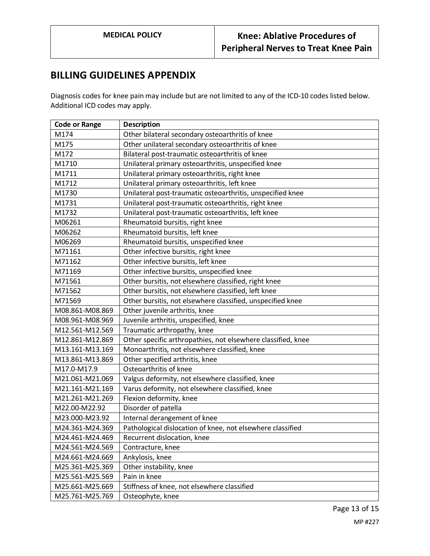### <span id="page-12-0"></span>**BILLING GUIDELINES APPENDIX**

Diagnosis codes for knee pain may include but are not limited to any of the ICD-10 codes listed below. Additional ICD codes may apply.

| <b>Code or Range</b> | <b>Description</b>                                           |
|----------------------|--------------------------------------------------------------|
| M174                 | Other bilateral secondary osteoarthritis of knee             |
| M175                 | Other unilateral secondary osteoarthritis of knee            |
| M172                 | Bilateral post-traumatic osteoarthritis of knee              |
| M1710                | Unilateral primary osteoarthritis, unspecified knee          |
| M1711                | Unilateral primary osteoarthritis, right knee                |
| M1712                | Unilateral primary osteoarthritis, left knee                 |
| M1730                | Unilateral post-traumatic osteoarthritis, unspecified knee   |
| M1731                | Unilateral post-traumatic osteoarthritis, right knee         |
| M1732                | Unilateral post-traumatic osteoarthritis, left knee          |
| M06261               | Rheumatoid bursitis, right knee                              |
| M06262               | Rheumatoid bursitis, left knee                               |
| M06269               | Rheumatoid bursitis, unspecified knee                        |
| M71161               | Other infective bursitis, right knee                         |
| M71162               | Other infective bursitis, left knee                          |
| M71169               | Other infective bursitis, unspecified knee                   |
| M71561               | Other bursitis, not elsewhere classified, right knee         |
| M71562               | Other bursitis, not elsewhere classified, left knee          |
| M71569               | Other bursitis, not elsewhere classified, unspecified knee   |
| M08.861-M08.869      | Other juvenile arthritis, knee                               |
| M08.961-M08.969      | Juvenile arthritis, unspecified, knee                        |
| M12.561-M12.569      | Traumatic arthropathy, knee                                  |
| M12.861-M12.869      | Other specific arthropathies, not elsewhere classified, knee |
| M13.161-M13.169      | Monoarthritis, not elsewhere classified, knee                |
| M13.861-M13.869      | Other specified arthritis, knee                              |
| M17.0-M17.9          | Osteoarthritis of knee                                       |
| M21.061-M21.069      | Valgus deformity, not elsewhere classified, knee             |
| M21.161-M21.169      | Varus deformity, not elsewhere classified, knee              |
| M21.261-M21.269      | Flexion deformity, knee                                      |
| M22.00-M22.92        | Disorder of patella                                          |
| M23.000-M23.92       | Internal derangement of knee                                 |
| M24.361-M24.369      | Pathological dislocation of knee, not elsewhere classified   |
| M24.461-M24.469      | Recurrent dislocation, knee                                  |
| M24.561-M24.569      | Contracture, knee                                            |
| M24.661-M24.669      | Ankylosis, knee                                              |
| M25.361-M25.369      | Other instability, knee                                      |
| M25.561-M25.569      | Pain in knee                                                 |
| M25.661-M25.669      | Stiffness of knee, not elsewhere classified                  |
| M25.761-M25.769      | Osteophyte, knee                                             |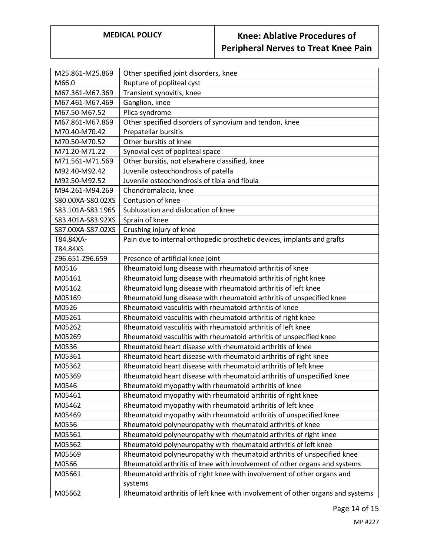# **MEDICAL POLICY Knee: Ablative Procedures of Peripheral Nerves to Treat Knee Pain**

| M25.861-M25.869   | Other specified joint disorders, knee                                          |
|-------------------|--------------------------------------------------------------------------------|
| M66.0             | Rupture of popliteal cyst                                                      |
| M67.361-M67.369   | Transient synovitis, knee                                                      |
| M67.461-M67.469   | Ganglion, knee                                                                 |
| M67.50-M67.52     | Plica syndrome                                                                 |
| M67.861-M67.869   | Other specified disorders of synovium and tendon, knee                         |
| M70.40-M70.42     | Prepatellar bursitis                                                           |
| M70.50-M70.52     | Other bursitis of knee                                                         |
| M71.20-M71.22     | Synovial cyst of popliteal space                                               |
| M71.561-M71.569   | Other bursitis, not elsewhere classified, knee                                 |
| M92.40-M92.42     | Juvenile osteochondrosis of patella                                            |
| M92.50-M92.52     | Juvenile osteochondrosis of tibia and fibula                                   |
| M94.261-M94.269   | Chondromalacia, knee                                                           |
| S80.00XA-S80.02XS | Contusion of knee                                                              |
| S83.101A-S83.196S | Subluxation and dislocation of knee                                            |
| S83.401A-S83.92XS | Sprain of knee                                                                 |
| S87.00XA-S87.02XS | Crushing injury of knee                                                        |
| T84.84XA-         | Pain due to internal orthopedic prosthetic devices, implants and grafts        |
| T84.84XS          |                                                                                |
| Z96.651-Z96.659   | Presence of artificial knee joint                                              |
| M0516             | Rheumatoid lung disease with rheumatoid arthritis of knee                      |
| M05161            | Rheumatoid lung disease with rheumatoid arthritis of right knee                |
| M05162            | Rheumatoid lung disease with rheumatoid arthritis of left knee                 |
| M05169            | Rheumatoid lung disease with rheumatoid arthritis of unspecified knee          |
| M0526             | Rheumatoid vasculitis with rheumatoid arthritis of knee                        |
| M05261            | Rheumatoid vasculitis with rheumatoid arthritis of right knee                  |
| M05262            | Rheumatoid vasculitis with rheumatoid arthritis of left knee                   |
| M05269            | Rheumatoid vasculitis with rheumatoid arthritis of unspecified knee            |
| M0536             | Rheumatoid heart disease with rheumatoid arthritis of knee                     |
| M05361            | Rheumatoid heart disease with rheumatoid arthritis of right knee               |
| M05362            | Rheumatoid heart disease with rheumatoid arthritis of left knee                |
| M05369            | Rheumatoid heart disease with rheumatoid arthritis of unspecified knee         |
| M0546             | Rheumatoid myopathy with rheumatoid arthritis of knee                          |
| M05461            | Rheumatoid myopathy with rheumatoid arthritis of right knee                    |
| M05462            | Rheumatoid myopathy with rheumatoid arthritis of left knee                     |
| M05469            | Rheumatoid myopathy with rheumatoid arthritis of unspecified knee              |
| M0556             | Rheumatoid polyneuropathy with rheumatoid arthritis of knee                    |
| M05561            | Rheumatoid polyneuropathy with rheumatoid arthritis of right knee              |
| M05562            | Rheumatoid polyneuropathy with rheumatoid arthritis of left knee               |
| M05569            | Rheumatoid polyneuropathy with rheumatoid arthritis of unspecified knee        |
| M0566             | Rheumatoid arthritis of knee with involvement of other organs and systems      |
| M05661            | Rheumatoid arthritis of right knee with involvement of other organs and        |
|                   | systems                                                                        |
| M05662            | Rheumatoid arthritis of left knee with involvement of other organs and systems |